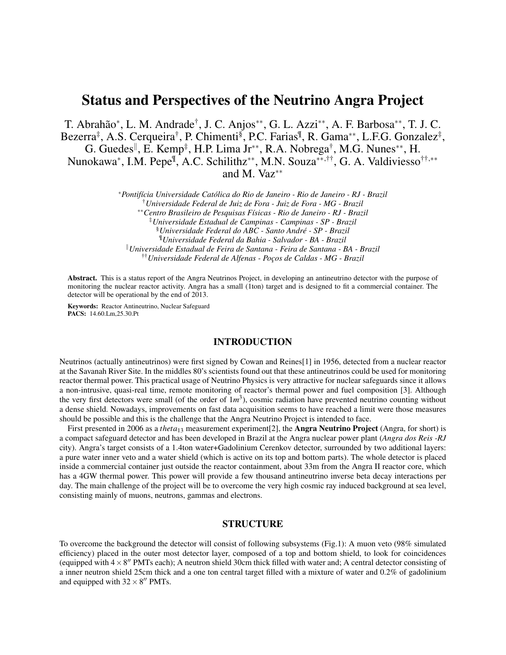# Status and Perspectives of the Neutrino Angra Project

T. Abrahão<sup>∗</sup> , L. M. Andrade† , J. C. Anjos∗∗, G. L. Azzi∗∗, A. F. Barbosa∗∗, T. J. C. Bezerra<sup>‡</sup>, A.S. Cerqueira<sup>†</sup>, P. Chimenti<sup>§</sup>, P.C. Farias<sup>¶</sup>, R. Gama<sup>\*\*</sup>, L.F.G. Gonzalez<sup>‡</sup>, G. Guedes<sup>||</sup>, E. Kemp<sup>‡</sup>, H.P. Lima Jr<sup>\*\*</sup>, R.A. Nobrega<sup>†</sup>, M.G. Nunes<sup>\*\*</sup>, H. Nunokawa<sup>∗</sup>, I.M. Pepe<sup>¶</sup>, A.C. Schilithz<sup>\*\*</sup>, M.N. Souza<sup>\*\*,††</sup>, G. A. Valdiviesso<sup>††,</sup>\*\* and M. Vaz∗∗

> <sup>∗</sup>*Pontifícia Universidade Católica do Rio de Janeiro - Rio de Janeiro - RJ - Brazil* †*Universidade Federal de Juiz de Fora - Juiz de Fora - MG - Brazil* ∗∗*Centro Brasileiro de Pesquisas Físicas - Rio de Janeiro - RJ - Brazil* ‡*Universidade Estadual de Campinas - Campinas - SP - Brazil* §*Universidade Federal do ABC - Santo André - SP - Brazil* ¶*Universidade Federal da Bahia - Salvador - BA - Brazil* <sup>k</sup>*Universidade Estadual de Feira de Santana - Feira de Santana - BA - Brazil* ††*Universidade Federal de Alfenas - Poços de Caldas - MG - Brazil*

Abstract. This is a status report of the Angra Neutrinos Project, in developing an antineutrino detector with the purpose of monitoring the nuclear reactor activity. Angra has a small (1ton) target and is designed to fit a commercial container. The detector will be operational by the end of 2013.

Keywords: Reactor Antineutrino, Nuclear Safeguard PACS: 14.60.Lm,25.30.Pt

### INTRODUCTION

Neutrinos (actually antineutrinos) were first signed by Cowan and Reines[1] in 1956, detected from a nuclear reactor at the Savanah River Site. In the middles 80's scientists found out that these antineutrinos could be used for monitoring reactor thermal power. This practical usage of Neutrino Physics is very attractive for nuclear safeguards since it allows a non-intrusive, quasi-real time, remote monitoring of reactor's thermal power and fuel composition [3]. Although the very first detectors were small (of the order of  $1m<sup>3</sup>$ ), cosmic radiation have prevented neutrino counting without a dense shield. Nowadays, improvements on fast data acquisition seems to have reached a limit were those measures should be possible and this is the challenge that the Angra Neutrino Project is intended to face.

First presented in 2006 as a *theta*<sub>13</sub> measurement experiment<sup>[2]</sup>, the **Angra Neutrino Project** (Angra, for short) is a compact safeguard detector and has been developed in Brazil at the Angra nuclear power plant (*Angra dos Reis -RJ* city). Angra's target consists of a 1.4ton water+Gadolinium Cerenkov detector, surrounded by two additional layers: a pure water inner veto and a water shield (which is active on its top and bottom parts). The whole detector is placed inside a commercial container just outside the reactor containment, about 33m from the Angra II reactor core, which has a 4GW thermal power. This power will provide a few thousand antineutrino inverse beta decay interactions per day. The main challenge of the project will be to overcome the very high cosmic ray induced background at sea level, consisting mainly of muons, neutrons, gammas and electrons.

### STRUCTURE

To overcome the background the detector will consist of following subsystems (Fig.1): A muon veto (98% simulated efficiency) placed in the outer most detector layer, composed of a top and bottom shield, to look for coincidences (equipped with  $4 \times 8''$  PMTs each); A neutron shield 30cm thick filled with water and; A central detector consisting of a inner neutron shield 25cm thick and a one ton central target filled with a mixture of water and 0.2% of gadolinium and equipped with  $32 \times 8''$  PMTs.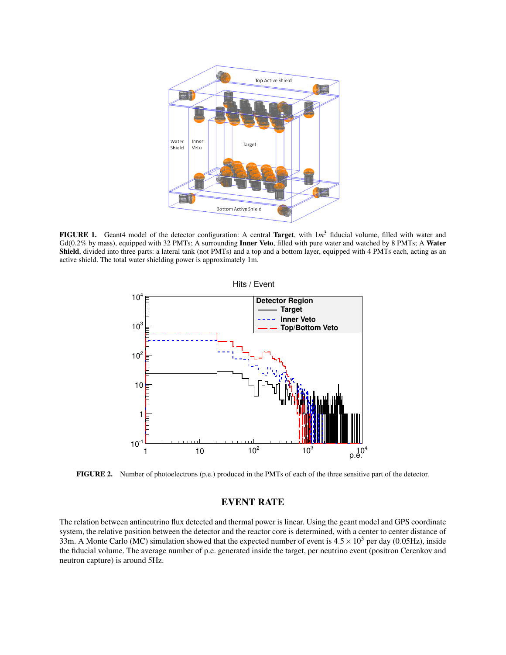

FIGURE 1. Geant4 model of the detector configuration: A central Target, with  $1m^3$  fiducial volume, filled with water and Gd(0.2% by mass), equipped with 32 PMTs; A surrounding Inner Veto, filled with pure water and watched by 8 PMTs; A Water Shield, divided into three parts: a lateral tank (not PMTs) and a top and a bottom layer, equipped with 4 PMTs each, acting as an active shield. The total water shielding power is approximately 1m.



FIGURE 2. Number of photoelectrons (p.e.) produced in the PMTs of each of the three sensitive part of the detector.

## EVENT RATE

The relation between antineutrino flux detected and thermal power is linear. Using the geant model and GPS coordinate system, the relative position between the detector and the reactor core is determined, with a center to center distance of 33m. A Monte Carlo (MC) simulation showed that the expected number of event is  $4.5 \times 10^3$  per day (0.05Hz), inside the fiducial volume. The average number of p.e. generated inside the target, per neutrino event (positron Cerenkov and neutron capture) is around 5Hz.